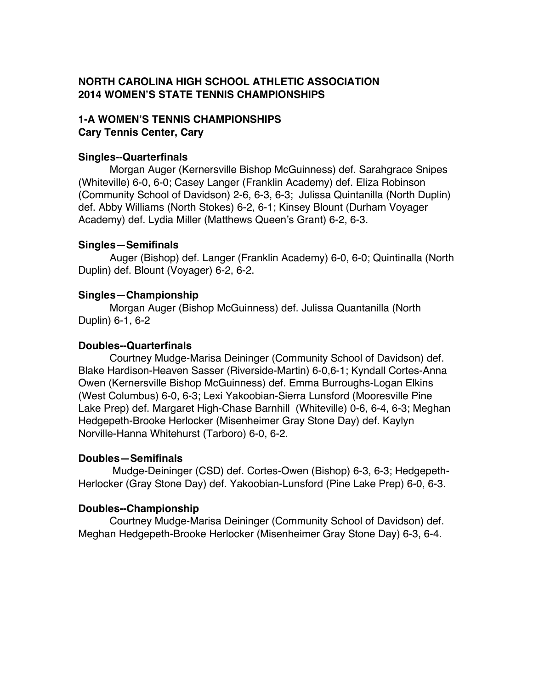# **NORTH CAROLINA HIGH SCHOOL ATHLETIC ASSOCIATION 2014 WOMEN'S STATE TENNIS CHAMPIONSHIPS**

### **1-A WOMEN'S TENNIS CHAMPIONSHIPS Cary Tennis Center, Cary**

## **Singles--Quarterfinals**

Morgan Auger (Kernersville Bishop McGuinness) def. Sarahgrace Snipes (Whiteville) 6-0, 6-0; Casey Langer (Franklin Academy) def. Eliza Robinson (Community School of Davidson) 2-6, 6-3, 6-3; Julissa Quintanilla (North Duplin) def. Abby Williams (North Stokes) 6-2, 6-1; Kinsey Blount (Durham Voyager Academy) def. Lydia Miller (Matthews Queen's Grant) 6-2, 6-3.

### **Singles—Semifinals**

Auger (Bishop) def. Langer (Franklin Academy) 6-0, 6-0; Quintinalla (North Duplin) def. Blount (Voyager) 6-2, 6-2.

## **Singles—Championship**

Morgan Auger (Bishop McGuinness) def. Julissa Quantanilla (North Duplin) 6-1, 6-2

### **Doubles--Quarterfinals**

Courtney Mudge-Marisa Deininger (Community School of Davidson) def. Blake Hardison-Heaven Sasser (Riverside-Martin) 6-0,6-1; Kyndall Cortes-Anna Owen (Kernersville Bishop McGuinness) def. Emma Burroughs-Logan Elkins (West Columbus) 6-0, 6-3; Lexi Yakoobian-Sierra Lunsford (Mooresville Pine Lake Prep) def. Margaret High-Chase Barnhill (Whiteville) 0-6, 6-4, 6-3; Meghan Hedgepeth-Brooke Herlocker (Misenheimer Gray Stone Day) def. Kaylyn Norville-Hanna Whitehurst (Tarboro) 6-0, 6-2.

# **Doubles—Semifinals**

Mudge-Deininger (CSD) def. Cortes-Owen (Bishop) 6-3, 6-3; Hedgepeth-Herlocker (Gray Stone Day) def. Yakoobian-Lunsford (Pine Lake Prep) 6-0, 6-3.

### **Doubles--Championship**

Courtney Mudge-Marisa Deininger (Community School of Davidson) def. Meghan Hedgepeth-Brooke Herlocker (Misenheimer Gray Stone Day) 6-3, 6-4.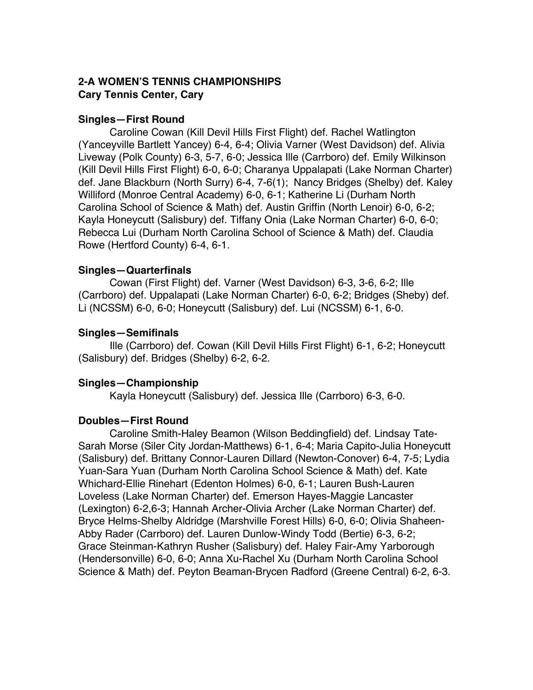## **2-A WOMEN'S TENNIS CHAMPIONSHIPS Cary Tennis Center, Cary**

### **Singles—First Round**

Caroline Cowan (Kill Devil Hills First Flight) def. Rachel Watlington (Yanceyville Bartlett Yancey) 6-4, 6-4; Olivia Varner (West Davidson) def. Alivia Liveway (Polk County) 6-3, 5-7, 6-0; Jessica Ille (Carrboro) def. Emily Wilkinson (Kill Devil Hills First Flight) 6-0, 6-0; Charanya Uppalapati (Lake Norman Charter) def. Jane Blackburn (North Surry) 6-4, 7-6(1); Nancy Bridges (Shelby) def. Kaley Williford (Monroe Central Academy) 6-0, 6-1; Katherine Li (Durham North Carolina School of Science & Math) def. Austin Griffin (North Lenoir) 6-0, 6-2; Kayla Honeycutt (Salisbury) def. Tiffany Onia (Lake Norman Charter) 6-0, 6-0; Rebecca Lui (Durham North Carolina School of Science & Math) def. Claudia Rowe (Hertford County) 6-4, 6-1.

## **Singles—Quarterfinals**

Cowan (First Flight) def. Varner (West Davidson) 6-3, 3-6, 6-2; Ille (Carrboro) def. Uppalapati (Lake Norman Charter) 6-0, 6-2; Bridges (Sheby) def. Li (NCSSM) 6-0, 6-0; Honeycutt (Salisbury) def. Lui (NCSSM) 6-1, 6-0.

### **Singles—Semifinals**

Ille (Carrboro) def. Cowan (Kill Devil Hills First Flight) 6-1, 6-2; Honeycutt (Salisbury) def. Bridges (Shelby) 6-2, 6-2.

# **Singles—Championship**

Kayla Honeycutt (Salisbury) def. Jessica Ille (Carrboro) 6-3, 6-0.

### **Doubles—First Round**

Caroline Smith-Haley Beamon (Wilson Beddingfield) def. Lindsay Tate-Sarah Morse (Siler City Jordan-Matthews) 6-1, 6-4; Maria Capito-Julia Honeycutt (Salisbury) def. Brittany Connor-Lauren Dillard (Newton-Conover) 6-4, 7-5; Lydia Yuan-Sara Yuan (Durham North Carolina School Science & Math) def. Kate Whichard-Ellie Rinehart (Edenton Holmes) 6-0, 6-1; Lauren Bush-Lauren Loveless (Lake Norman Charter) def. Emerson Hayes-Maggie Lancaster (Lexington) 6-2,6-3; Hannah Archer-Olivia Archer (Lake Norman Charter) def. Bryce Helms-Shelby Aldridge (Marshville Forest Hills) 6-0, 6-0; Olivia Shaheen-Abby Rader (Carrboro) def. Lauren Dunlow-Windy Todd (Bertie) 6-3, 6-2; Grace Steinman-Kathryn Rusher (Salisbury) def. Haley Fair-Amy Yarborough (Hendersonville) 6-0, 6-0; Anna Xu-Rachel Xu (Durham North Carolina School Science & Math) def. Peyton Beaman-Brycen Radford (Greene Central) 6-2, 6-3.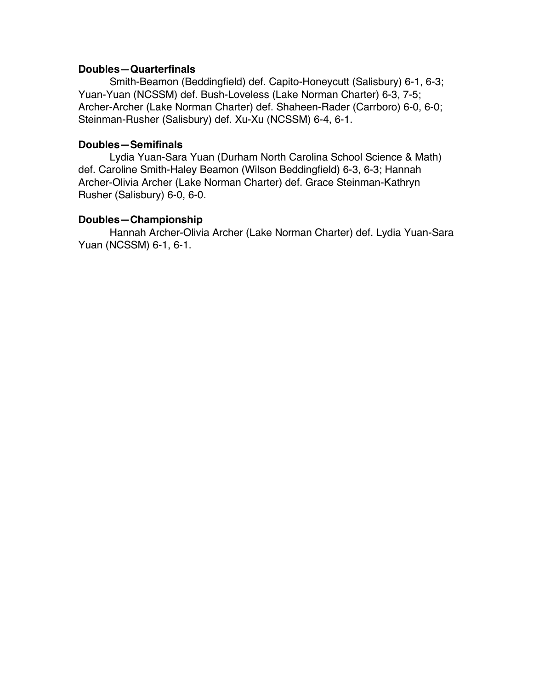#### **Doubles—Quarterfinals**

Smith-Beamon (Beddingfield) def. Capito-Honeycutt (Salisbury) 6-1, 6-3; Yuan-Yuan (NCSSM) def. Bush-Loveless (Lake Norman Charter) 6-3, 7-5; Archer-Archer (Lake Norman Charter) def. Shaheen-Rader (Carrboro) 6-0, 6-0; Steinman-Rusher (Salisbury) def. Xu-Xu (NCSSM) 6-4, 6-1.

#### **Doubles—Semifinals**

Lydia Yuan-Sara Yuan (Durham North Carolina School Science & Math) def. Caroline Smith-Haley Beamon (Wilson Beddingfield) 6-3, 6-3; Hannah Archer-Olivia Archer (Lake Norman Charter) def. Grace Steinman-Kathryn Rusher (Salisbury) 6-0, 6-0.

#### **Doubles—Championship**

Hannah Archer-Olivia Archer (Lake Norman Charter) def. Lydia Yuan-Sara Yuan (NCSSM) 6-1, 6-1.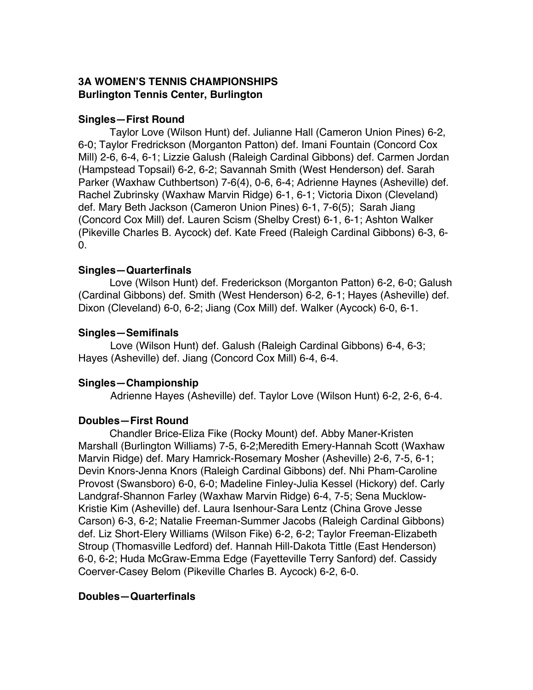# **3A WOMEN'S TENNIS CHAMPIONSHIPS Burlington Tennis Center, Burlington**

## **Singles—First Round**

Taylor Love (Wilson Hunt) def. Julianne Hall (Cameron Union Pines) 6-2, 6-0; Taylor Fredrickson (Morganton Patton) def. Imani Fountain (Concord Cox Mill) 2-6, 6-4, 6-1; Lizzie Galush (Raleigh Cardinal Gibbons) def. Carmen Jordan (Hampstead Topsail) 6-2, 6-2; Savannah Smith (West Henderson) def. Sarah Parker (Waxhaw Cuthbertson) 7-6(4), 0-6, 6-4; Adrienne Haynes (Asheville) def. Rachel Zubrinsky (Waxhaw Marvin Ridge) 6-1, 6-1; Victoria Dixon (Cleveland) def. Mary Beth Jackson (Cameron Union Pines) 6-1, 7-6(5); Sarah Jiang (Concord Cox Mill) def. Lauren Scism (Shelby Crest) 6-1, 6-1; Ashton Walker (Pikeville Charles B. Aycock) def. Kate Freed (Raleigh Cardinal Gibbons) 6-3, 6- 0.

## **Singles—Quarterfinals**

Love (Wilson Hunt) def. Frederickson (Morganton Patton) 6-2, 6-0; Galush (Cardinal Gibbons) def. Smith (West Henderson) 6-2, 6-1; Hayes (Asheville) def. Dixon (Cleveland) 6-0, 6-2; Jiang (Cox Mill) def. Walker (Aycock) 6-0, 6-1.

## **Singles—Semifinals**

Love (Wilson Hunt) def. Galush (Raleigh Cardinal Gibbons) 6-4, 6-3; Hayes (Asheville) def. Jiang (Concord Cox Mill) 6-4, 6-4.

# **Singles—Championship**

Adrienne Hayes (Asheville) def. Taylor Love (Wilson Hunt) 6-2, 2-6, 6-4.

### **Doubles—First Round**

Chandler Brice-Eliza Fike (Rocky Mount) def. Abby Maner-Kristen Marshall (Burlington Williams) 7-5, 6-2;Meredith Emery-Hannah Scott (Waxhaw Marvin Ridge) def. Mary Hamrick-Rosemary Mosher (Asheville) 2-6, 7-5, 6-1; Devin Knors-Jenna Knors (Raleigh Cardinal Gibbons) def. Nhi Pham-Caroline Provost (Swansboro) 6-0, 6-0; Madeline Finley-Julia Kessel (Hickory) def. Carly Landgraf-Shannon Farley (Waxhaw Marvin Ridge) 6-4, 7-5; Sena Mucklow-Kristie Kim (Asheville) def. Laura Isenhour-Sara Lentz (China Grove Jesse Carson) 6-3, 6-2; Natalie Freeman-Summer Jacobs (Raleigh Cardinal Gibbons) def. Liz Short-Elery Williams (Wilson Fike) 6-2, 6-2; Taylor Freeman-Elizabeth Stroup (Thomasville Ledford) def. Hannah Hill-Dakota Tittle (East Henderson) 6-0, 6-2; Huda McGraw-Emma Edge (Fayetteville Terry Sanford) def. Cassidy Coerver-Casey Belom (Pikeville Charles B. Aycock) 6-2, 6-0.

# **Doubles—Quarterfinals**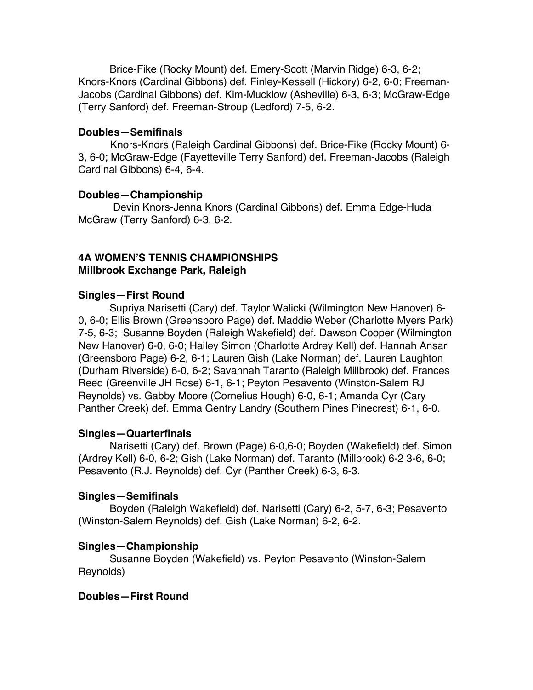Brice-Fike (Rocky Mount) def. Emery-Scott (Marvin Ridge) 6-3, 6-2; Knors-Knors (Cardinal Gibbons) def. Finley-Kessell (Hickory) 6-2, 6-0; Freeman-Jacobs (Cardinal Gibbons) def. Kim-Mucklow (Asheville) 6-3, 6-3; McGraw-Edge (Terry Sanford) def. Freeman-Stroup (Ledford) 7-5, 6-2.

#### **Doubles—Semifinals**

Knors-Knors (Raleigh Cardinal Gibbons) def. Brice-Fike (Rocky Mount) 6- 3, 6-0; McGraw-Edge (Fayetteville Terry Sanford) def. Freeman-Jacobs (Raleigh Cardinal Gibbons) 6-4, 6-4.

### **Doubles—Championship**

Devin Knors-Jenna Knors (Cardinal Gibbons) def. Emma Edge-Huda McGraw (Terry Sanford) 6-3, 6-2.

# **4A WOMEN'S TENNIS CHAMPIONSHIPS Millbrook Exchange Park, Raleigh**

## **Singles—First Round**

Supriya Narisetti (Cary) def. Taylor Walicki (Wilmington New Hanover) 6- 0, 6-0; Ellis Brown (Greensboro Page) def. Maddie Weber (Charlotte Myers Park) 7-5, 6-3; Susanne Boyden (Raleigh Wakefield) def. Dawson Cooper (Wilmington New Hanover) 6-0, 6-0; Hailey Simon (Charlotte Ardrey Kell) def. Hannah Ansari (Greensboro Page) 6-2, 6-1; Lauren Gish (Lake Norman) def. Lauren Laughton (Durham Riverside) 6-0, 6-2; Savannah Taranto (Raleigh Millbrook) def. Frances Reed (Greenville JH Rose) 6-1, 6-1; Peyton Pesavento (Winston-Salem RJ Reynolds) vs. Gabby Moore (Cornelius Hough) 6-0, 6-1; Amanda Cyr (Cary Panther Creek) def. Emma Gentry Landry (Southern Pines Pinecrest) 6-1, 6-0.

### **Singles—Quarterfinals**

Narisetti (Cary) def. Brown (Page) 6-0,6-0; Boyden (Wakefield) def. Simon (Ardrey Kell) 6-0, 6-2; Gish (Lake Norman) def. Taranto (Millbrook) 6-2 3-6, 6-0; Pesavento (R.J. Reynolds) def. Cyr (Panther Creek) 6-3, 6-3.

### **Singles—Semifinals**

Boyden (Raleigh Wakefield) def. Narisetti (Cary) 6-2, 5-7, 6-3; Pesavento (Winston-Salem Reynolds) def. Gish (Lake Norman) 6-2, 6-2.

### **Singles—Championship**

Susanne Boyden (Wakefield) vs. Peyton Pesavento (Winston-Salem Reynolds)

# **Doubles—First Round**